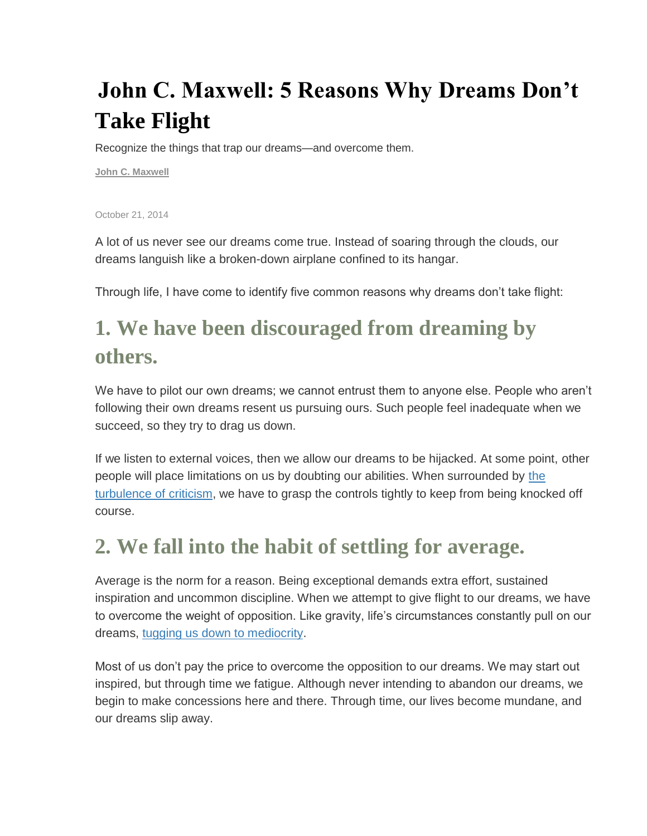# **John C. Maxwell: 5 Reasons Why Dreams Don't Take Flight**

Recognize the things that trap our dreams—and overcome them.

**[John C. Maxwell](http://www.success.com/profile/john-c-maxwell)**

October 21, 2014

A lot of us never see our dreams come true. Instead of soaring through the clouds, our dreams languish like a broken-down airplane confined to its hangar.

Through life, I have come to identify five common reasons why dreams don't take flight:

### **1. We have been discouraged from dreaming by others.**

We have to pilot our own dreams; we cannot entrust them to anyone else. People who aren't following their own dreams resent us pursuing ours. Such people feel inadequate when we succeed, so they try to drag us down.

If we listen to external voices, then we allow our dreams to be hijacked. At some point, other people will place limitations on us by doubting our abilities. When surrounded by [the](http://www.success.com/article/john-maxwell-4-steps-to-handling-criticism)  [turbulence of criticism,](http://www.success.com/article/john-maxwell-4-steps-to-handling-criticism) we have to grasp the controls tightly to keep from being knocked off course.

#### **2. We fall into the habit of settling for average.**

Average is the norm for a reason. Being exceptional demands extra effort, sustained inspiration and uncommon discipline. When we attempt to give flight to our dreams, we have to overcome the weight of opposition. Like gravity, life's circumstances constantly pull on our dreams, [tugging us down to mediocrity.](http://www.success.com/article/doubtbusters-erase-self-limiting-beliefs)

Most of us don't pay the price to overcome the opposition to our dreams. We may start out inspired, but through time we fatigue. Although never intending to abandon our dreams, we begin to make concessions here and there. Through time, our lives become mundane, and our dreams slip away.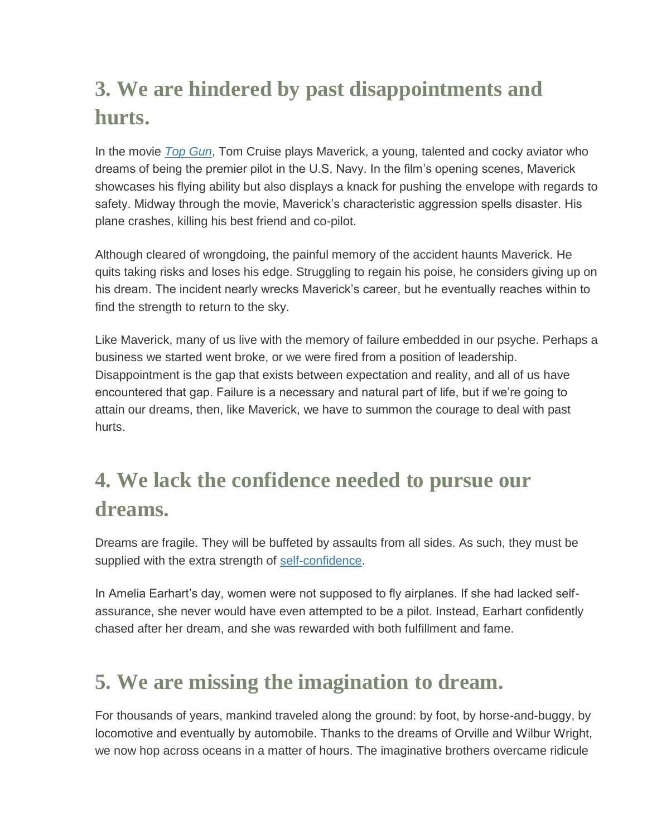## **3. We are hindered by past disappointments and hurts.**

In the movie *[Top Gun](http://www.amazon.com/gp/product/B0002WZTOI/ref=as_li_tl?ie=UTF8&camp=1789&creative=390957&creativeASIN=B0002WZTOI&linkCode=as2&tag=sm0fe-20&linkId=D7OFSMLFGUREUQNJ)*, Tom Cruise plays Maverick, a young, talented and cocky aviator who dreams of being the premier pilot in the U.S. Navy. In the film's opening scenes, Maverick showcases his flying ability but also displays a knack for pushing the envelope with regards to safety. Midway through the movie, Maverick's characteristic aggression spells disaster. His plane crashes, killing his best friend and co-pilot.

Although cleared of wrongdoing, the painful memory of the accident haunts Maverick. He quits taking risks and loses his edge. Struggling to regain his poise, he considers giving up on his dream. The incident nearly wrecks Maverick's career, but he eventually reaches within to find the strength to return to the sky.

Like Maverick, many of us live with the memory of failure embedded in our psyche. Perhaps a business we started went broke, or we were fired from a position of leadership. Disappointment is the gap that exists between expectation and reality, and all of us have encountered that gap. Failure is a necessary and natural part of life, but if we're going to attain our dreams, then, like Maverick, we have to summon the courage to deal with past hurts.

### **4. We lack the confidence needed to pursue our dreams.**

Dreams are fragile. They will be buffeted by assaults from all sides. As such, they must be supplied with the extra strength of [self-confidence.](http://www.success.com/article/the-business-of-self-esteem)

In Amelia Earhart's day, women were not supposed to fly airplanes. If she had lacked selfassurance, she never would have even attempted to be a pilot. Instead, Earhart confidently chased after her dream, and she was rewarded with both fulfillment and fame.

#### **5. We are missing the imagination to dream.**

For thousands of years, mankind traveled along the ground: by foot, by horse-and-buggy, by locomotive and eventually by automobile. Thanks to the dreams of Orville and Wilbur Wright, we now hop across oceans in a matter of hours. The imaginative brothers overcame ridicule